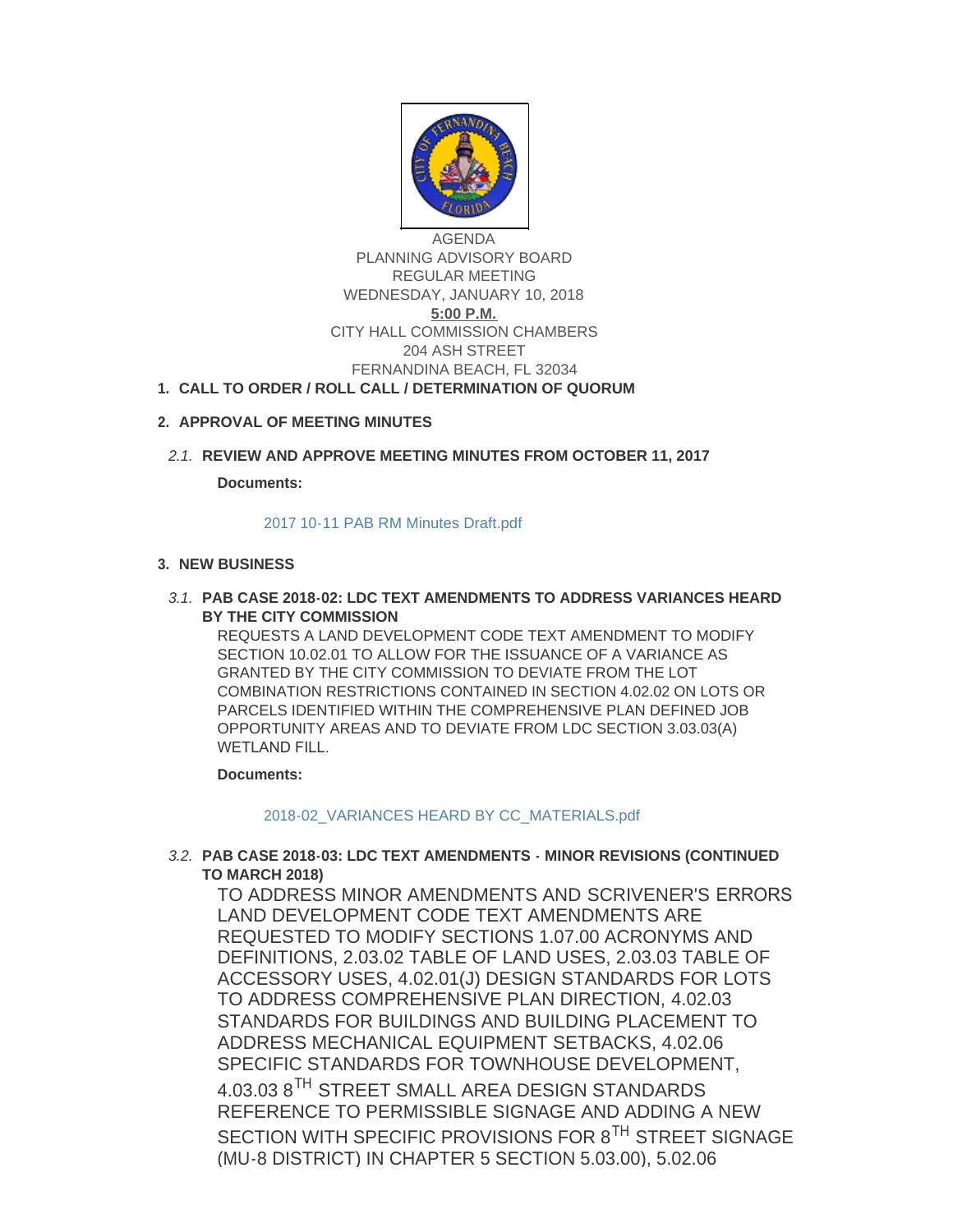

AGENDA PLANNING ADVISORY BOARD REGULAR MEETING WEDNESDAY, JANUARY 10, 2018 **5:00 P.M.** CITY HALL COMMISSION CHAMBERS 204 ASH STREET FERNANDINA BEACH, FL 32034

# **CALL TO ORDER / ROLL CALL / DETERMINATION OF QUORUM 1.**

# **APPROVAL OF MEETING MINUTES 2.**

# **REVIEW AND APPROVE MEETING MINUTES FROM OCTOBER 11, 2017** *2.1.*

**Documents:**

#### [2017 10-11 PAB RM Minutes Draft.pdf](http://fl-fernandinabeach3.civicplus.com/AgendaCenter/ViewFile/Item/8566?fileID=5510)

## **NEW BUSINESS 3.**

#### **PAB CASE 2018-02: LDC TEXT AMENDMENTS TO ADDRESS VARIANCES HEARD**  *3.1.* **BY THE CITY COMMISSION**

REQUESTS A LAND DEVELOPMENT CODE TEXT AMENDMENT TO MODIFY SECTION 10.02.01 TO ALLOW FOR THE ISSUANCE OF A VARIANCE AS GRANTED BY THE CITY COMMISSION TO DEVIATE FROM THE LOT COMBINATION RESTRICTIONS CONTAINED IN SECTION 4.02.02 ON LOTS OR PARCELS IDENTIFIED WITHIN THE COMPREHENSIVE PLAN DEFINED JOB OPPORTUNITY AREAS AND TO DEVIATE FROM LDC SECTION 3.03.03(A) WETLAND FILL.

**Documents:**

[2018-02\\_VARIANCES HEARD BY CC\\_MATERIALS.pdf](http://fl-fernandinabeach3.civicplus.com/AgendaCenter/ViewFile/Item/8564?fileID=5511)

# **PAB CASE 2018-03: LDC TEXT AMENDMENTS - MINOR REVISIONS (CONTINUED**  *3.2.* **TO MARCH 2018)**

TO ADDRESS MINOR AMENDMENTS AND SCRIVENER'S ERRORS LAND DEVELOPMENT CODE TEXT AMENDMENTS ARE REQUESTED TO MODIFY SECTIONS 1.07.00 ACRONYMS AND DEFINITIONS, 2.03.02 TABLE OF LAND USES, 2.03.03 TABLE OF ACCESSORY USES, 4.02.01(J) DESIGN STANDARDS FOR LOTS TO ADDRESS COMPREHENSIVE PLAN DIRECTION, 4.02.03 STANDARDS FOR BUILDINGS AND BUILDING PLACEMENT TO ADDRESS MECHANICAL EQUIPMENT SETBACKS, 4.02.06 SPECIFIC STANDARDS FOR TOWNHOUSE DEVELOPMENT, 4.03.03 8TH STREET SMALL AREA DESIGN STANDARDS REFERENCE TO PERMISSIBLE SIGNAGE AND ADDING A NEW SECTION WITH SPECIFIC PROVISIONS FOR 8<sup>TH</sup> STREET SIGNAGE (MU-8 DISTRICT) IN CHAPTER 5 SECTION 5.03.00), 5.02.06